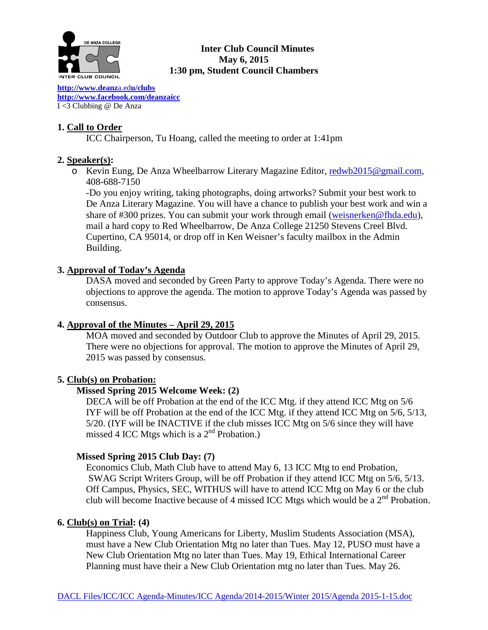

## **Inter Club Council Minutes May 6, 2015 1:30 pm, Student Council Chambers**

**[http://www.deanz](http://www.deanza.edu/clubs)**a.ed**u/clubs [http://www.facebook.com/deanzaicc](http://www.facebook.com/home.php%23!/group.php?gid=59034552686)** I <3 Clubbing @ De Anza

## **1. Call to Order**

ICC Chairperson, Tu Hoang, called the meeting to order at 1:41pm

## **2. Speaker(s):**

o Kevin Eung, De Anza Wheelbarrow Literary Magazine Editor, [redwb2015@gmail.com,](mailto:redwb2015@gmail.com) 408-688-7150

-Do you enjoy writing, taking photographs, doing artworks? Submit your best work to De Anza Literary Magazine. You will have a chance to publish your best work and win a share of #300 prizes. You can submit your work through email [\(weisnerken@fhda.edu\)](mailto:weisnerken@fhda.edu), mail a hard copy to Red Wheelbarrow, De Anza College 21250 Stevens Creel Blvd. Cupertino, CA 95014, or drop off in Ken Weisner's faculty mailbox in the Admin Building.

## **3. Approval of Today's Agenda**

DASA moved and seconded by Green Party to approve Today's Agenda. There were no objections to approve the agenda. The motion to approve Today's Agenda was passed by consensus.

## **4. Approval of the Minutes – April 29, 2015**

MOA moved and seconded by Outdoor Club to approve the Minutes of April 29, 2015. There were no objections for approval. The motion to approve the Minutes of April 29, 2015 was passed by consensus.

## **5. Club(s) on Probation:**

## **Missed Spring 2015 Welcome Week: (2)**

DECA will be off Probation at the end of the ICC Mtg. if they attend ICC Mtg on 5/6 IYF will be off Probation at the end of the ICC Mtg. if they attend ICC Mtg on 5/6, 5/13, 5/20. (IYF will be INACTIVE if the club misses ICC Mtg on 5/6 since they will have missed 4 ICC Mtgs which is a  $2<sup>nd</sup>$  Probation.)

## **Missed Spring 2015 Club Day: (7)**

Economics Club, Math Club have to attend May 6, 13 ICC Mtg to end Probation, SWAG Script Writers Group, will be off Probation if they attend ICC Mtg on 5/6, 5/13. Off Campus, Physics, SEC, WITHUS will have to attend ICC Mtg on May 6 or the club club will become Inactive because of 4 missed ICC Mtgs which would be a  $2<sup>nd</sup>$  Probation.

### **6. Club(s) on Trial: (4)**

Happiness Club, Young Americans for Liberty, Muslim Students Association (MSA), must have a New Club Orientation Mtg no later than Tues. May 12, PUSO must have a New Club Orientation Mtg no later than Tues. May 19, Ethical International Career Planning must have their a New Club Orientation mtg no later than Tues. May 26.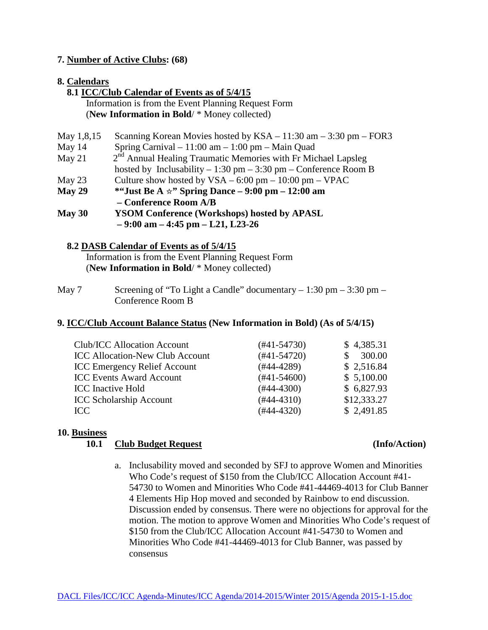### **7. Number of Active Clubs: (68)**

### **8. Calendars**

 **8.1 ICC/Club Calendar of Events as of 5/4/15** Information is from the Event Planning Request Form (**New Information in Bold**/ \* Money collected)

| May 1,8,15 | Scanning Korean Movies hosted by $KSA - 11:30$ am $- 3:30$ pm $-$ FOR3          |
|------------|---------------------------------------------------------------------------------|
| May $14$   | Spring Carnival $-11:00$ am $-1:00$ pm $-$ Main Quad                            |
| May $21$   | $2nd$ Annual Healing Traumatic Memories with Fr Michael Lapsleg                 |
|            | hosted by Inclusability – 1:30 pm – 3:30 pm – Conference Room B                 |
| May $23$   | Culture show hosted by $VSA - 6:00 \text{ pm} - 10:00 \text{ pm} - \text{VPAC}$ |
| May 29     | <sup>*</sup> "Just Be A $\star$ " Spring Dance – 9:00 pm – 12:00 am             |
|            | - Conference Room A/B                                                           |
| May $30$   | <b>YSOM Conference (Workshops) hosted by APASL</b>                              |
|            | $-9:00$ am $-4:45$ pm $-121$ , L23-26                                           |
|            |                                                                                 |

### **8.2 DASB Calendar of Events as of 5/4/15**

Information is from the Event Planning Request Form (**New Information in Bold**/ \* Money collected)

May 7 Screening of "To Light a Candle" documentary  $-1:30$  pm  $-3:30$  pm  $-$ Conference Room B

### **9. ICC/Club Account Balance Status (New Information in Bold) (As of 5/4/15)**

| <b>Club/ICC Allocation Account</b>     | $(#41-54730)$ | \$4,385.31  |
|----------------------------------------|---------------|-------------|
| <b>ICC Allocation-New Club Account</b> | $(#41-54720)$ | 300.00      |
| <b>ICC Emergency Relief Account</b>    | $(#44-4289)$  | \$2,516.84  |
| <b>ICC Events Award Account</b>        | $(#41-54600)$ | \$5,100.00  |
| <b>ICC</b> Inactive Hold               | $(#44-4300)$  | \$6,827.93  |
| <b>ICC Scholarship Account</b>         | $(#44-4310)$  | \$12,333.27 |
| ICC.                                   | $(#44-4320)$  | \$2,491.85  |
|                                        |               |             |

# **10. Business**

### **10.1 Club Budget Request (Info/Action)**

- 
- a. Inclusability moved and seconded by SFJ to approve Women and Minorities Who Code's request of \$150 from the Club/ICC Allocation Account #41- 54730 to Women and Minorities Who Code #41-44469-4013 for Club Banner 4 Elements Hip Hop moved and seconded by Rainbow to end discussion. Discussion ended by consensus. There were no objections for approval for the motion. The motion to approve Women and Minorities Who Code's request of \$150 from the Club/ICC Allocation Account #41-54730 to Women and Minorities Who Code #41-44469-4013 for Club Banner, was passed by consensus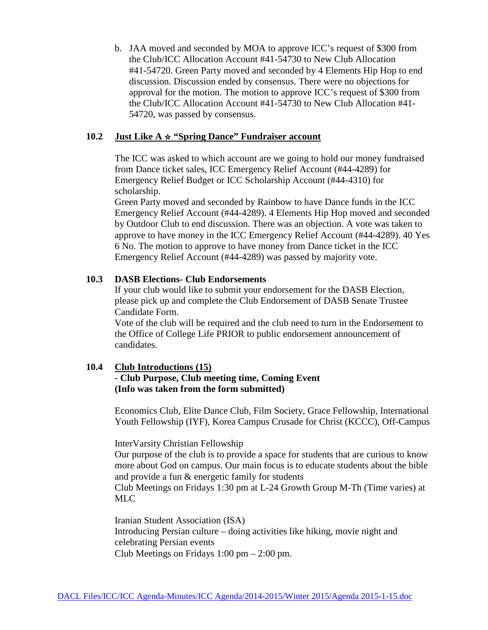b. JAA moved and seconded by MOA to approve ICC's request of \$300 from the Club/ICC Allocation Account #41-54730 to New Club Allocation #41-54720. Green Party moved and seconded by 4 Elements Hip Hop to end discussion. Discussion ended by consensus. There were no objections for approval for the motion. The motion to approve ICC's request of \$300 from the Club/ICC Allocation Account #41-54730 to New Club Allocation #41- 54720, was passed by consensus.

### **10.2 Just Like A** ☆ **"Spring Dance" Fundraiser account**

The ICC was asked to which account are we going to hold our money fundraised from Dance ticket sales, ICC Emergency Relief Account (#44-4289) for Emergency Relief Budget or ICC Scholarship Account (#44-4310) for scholarship.

Green Party moved and seconded by Rainbow to have Dance funds in the ICC Emergency Relief Account (#44-4289). 4 Elements Hip Hop moved and seconded by Outdoor Club to end discussion. There was an objection. A vote was taken to approve to have money in the ICC Emergency Relief Account (#44-4289). 40 Yes 6 No. The motion to approve to have money from Dance ticket in the ICC Emergency Relief Account (#44-4289) was passed by majority vote.

#### **10.3 DASB Elections- Club Endorsements**

If your club would like to submit your endorsement for the DASB Election, please pick up and complete the Club Endorsement of DASB Senate Trustee Candidate Form.

Vote of the club will be required and the club need to turn in the Endorsement to the Office of College Life PRIOR to public endorsement announcement of candidates.

### **10.4 Club Introductions (15)**

## **- Club Purpose, Club meeting time, Coming Event (Info was taken from the form submitted)**

Economics Club, Elite Dance Club, Film Society, Grace Fellowship, International Youth Fellowship (IYF), Korea Campus Crusade for Christ (KCCC), Off-Campus

InterVarsity Christian Fellowship

Our purpose of the club is to provide a space for students that are curious to know more about God on campus. Our main focus is to educate students about the bible and provide a fun & energetic family for students

Club Meetings on Fridays 1:30 pm at L-24 Growth Group M-Th (Time varies) at MLC

Iranian Student Association (ISA) Introducing Persian culture – doing activities like hiking, movie night and celebrating Persian events Club Meetings on Fridays 1:00 pm – 2:00 pm.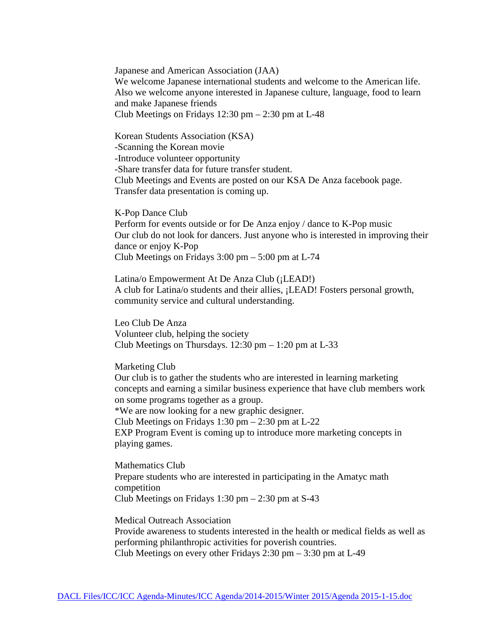Japanese and American Association (JAA) We welcome Japanese international students and welcome to the American life. Also we welcome anyone interested in Japanese culture, language, food to learn and make Japanese friends Club Meetings on Fridays  $12:30 \text{ pm} - 2:30 \text{ pm}$  at L-48

Korean Students Association (KSA) -Scanning the Korean movie -Introduce volunteer opportunity -Share transfer data for future transfer student. Club Meetings and Events are posted on our KSA De Anza facebook page. Transfer data presentation is coming up.

K-Pop Dance Club Perform for events outside or for De Anza enjoy / dance to K-Pop music Our club do not look for dancers. Just anyone who is interested in improving their dance or enjoy K-Pop Club Meetings on Fridays  $3:00 \text{ pm} - 5:00 \text{ pm}$  at L-74

Latina/o Empowerment At De Anza Club (¡LEAD!) A club for Latina/o students and their allies, ¡LEAD! Fosters personal growth, community service and cultural understanding.

Leo Club De Anza Volunteer club, helping the society Club Meetings on Thursdays.  $12:30 \text{ pm} - 1:20 \text{ pm}$  at L-33

Marketing Club

Our club is to gather the students who are interested in learning marketing concepts and earning a similar business experience that have club members work on some programs together as a group.

\*We are now looking for a new graphic designer.

Club Meetings on Fridays 1:30 pm  $- 2:30$  pm at L-22

EXP Program Event is coming up to introduce more marketing concepts in playing games.

Mathematics Club Prepare students who are interested in participating in the Amatyc math competition Club Meetings on Fridays  $1:30 \text{ pm} - 2:30 \text{ pm}$  at S-43

Medical Outreach Association Provide awareness to students interested in the health or medical fields as well as performing philanthropic activities for poverish countries. Club Meetings on every other Fridays 2:30 pm – 3:30 pm at L-49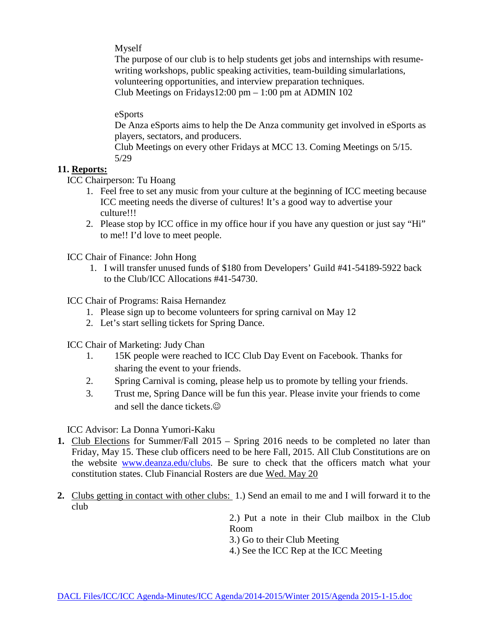Myself

The purpose of our club is to help students get jobs and internships with resumewriting workshops, public speaking activities, team-building simularlations, volunteering opportunities, and interview preparation techniques. Club Meetings on Fridays12:00 pm  $-1:00$  pm at ADMIN 102

eSports

De Anza eSports aims to help the De Anza community get involved in eSports as players, sectators, and producers.

Club Meetings on every other Fridays at MCC 13. Coming Meetings on 5/15. 5/29

# **11. Reports:**

ICC Chairperson: Tu Hoang

- 1. Feel free to set any music from your culture at the beginning of ICC meeting because ICC meeting needs the diverse of cultures! It's a good way to advertise your culture!!!
- 2. Please stop by ICC office in my office hour if you have any question or just say "Hi" to me!! I'd love to meet people.

ICC Chair of Finance: John Hong

1. I will transfer unused funds of \$180 from Developers' Guild #41-54189-5922 back to the Club/ICC Allocations #41-54730.

ICC Chair of Programs: Raisa Hernandez

- 1. Please sign up to become volunteers for spring carnival on May 12
- 2. Let's start selling tickets for Spring Dance.

ICC Chair of Marketing: Judy Chan

- 1. 15K people were reached to ICC Club Day Event on Facebook. Thanks for sharing the event to your friends.
- 2. Spring Carnival is coming, please help us to promote by telling your friends.
- 3. Trust me, Spring Dance will be fun this year. Please invite your friends to come and sell the dance tickets.

ICC Advisor: La Donna Yumori-Kaku

- **1.** Club Elections for Summer/Fall 2015 Spring 2016 needs to be completed no later than Friday, May 15. These club officers need to be here Fall, 2015. All Club Constitutions are on the website [www.deanza.edu/clubs.](http://www.deanza.edu/clubs) Be sure to check that the officers match what your constitution states. Club Financial Rosters are due Wed. May 20
- **2.** Clubs getting in contact with other clubs: 1.) Send an email to me and I will forward it to the club

2.) Put a note in their Club mailbox in the Club Room

3.) Go to their Club Meeting

4.) See the ICC Rep at the ICC Meeting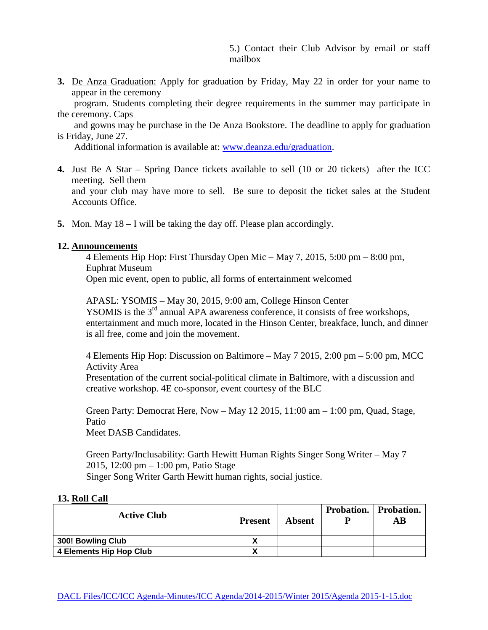5.) Contact their Club Advisor by email or staff mailbox

**3.** De Anza Graduation: Apply for graduation by Friday, May 22 in order for your name to appear in the ceremony

 program. Students completing their degree requirements in the summer may participate in the ceremony. Caps

 and gowns may be purchase in the De Anza Bookstore. The deadline to apply for graduation is Friday, June 27.

Additional information is available at: [www.deanza.edu/graduation.](http://www.deanza.edu/graduation)

- **4.** Just Be A Star Spring Dance tickets available to sell (10 or 20 tickets) after the ICC meeting. Sell them and your club may have more to sell. Be sure to deposit the ticket sales at the Student Accounts Office.
- **5.** Mon. May 18 I will be taking the day off. Please plan accordingly.

#### **12. Announcements**

4 Elements Hip Hop: First Thursday Open Mic – May 7, 2015, 5:00 pm – 8:00 pm, Euphrat Museum

Open mic event, open to public, all forms of entertainment welcomed

APASL: YSOMIS – May 30, 2015, 9:00 am, College Hinson Center YSOMIS is the 3<sup>rd</sup> annual APA awareness conference, it consists of free workshops, entertainment and much more, located in the Hinson Center, breakface, lunch, and dinner is all free, come and join the movement.

4 Elements Hip Hop: Discussion on Baltimore – May 7 2015, 2:00 pm – 5:00 pm, MCC Activity Area

Presentation of the current social-political climate in Baltimore, with a discussion and creative workshop. 4E co-sponsor, event courtesy of the BLC

Green Party: Democrat Here, Now – May 12 2015, 11:00 am – 1:00 pm, Quad, Stage, Patio

Meet DASB Candidates.

Green Party/Inclusability: Garth Hewitt Human Rights Singer Song Writer – May 7 2015, 12:00 pm – 1:00 pm, Patio Stage Singer Song Writer Garth Hewitt human rights, social justice.

#### **13. Roll Call**

| <b>Active Club</b>      | <b>Present</b> | <b>Absent</b> | <b>Probation.</b> Probation.<br>AВ |
|-------------------------|----------------|---------------|------------------------------------|
| 300! Bowling Club       | χ              |               |                                    |
| 4 Elements Hip Hop Club | v<br>Λ         |               |                                    |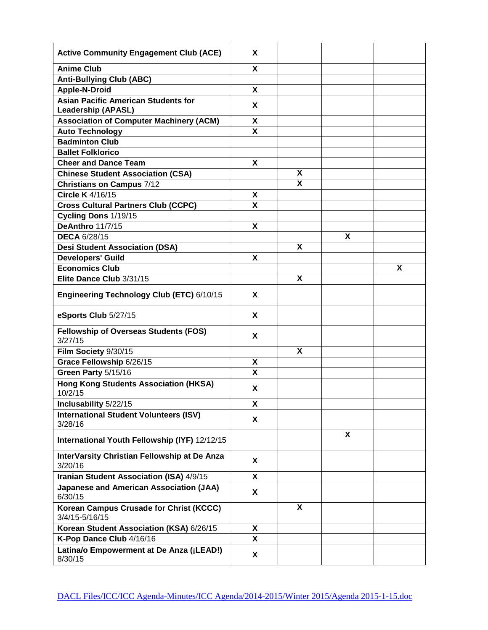| <b>Active Community Engagement Club (ACE)</b>                           | X |   |                           |   |
|-------------------------------------------------------------------------|---|---|---------------------------|---|
| <b>Anime Club</b>                                                       | X |   |                           |   |
| <b>Anti-Bullying Club (ABC)</b>                                         |   |   |                           |   |
| <b>Apple-N-Droid</b>                                                    | X |   |                           |   |
| <b>Asian Pacific American Students for</b><br><b>Leadership (APASL)</b> | X |   |                           |   |
| <b>Association of Computer Machinery (ACM)</b>                          | X |   |                           |   |
| <b>Auto Technology</b>                                                  | X |   |                           |   |
| <b>Badminton Club</b>                                                   |   |   |                           |   |
| <b>Ballet Folklorico</b>                                                |   |   |                           |   |
| <b>Cheer and Dance Team</b>                                             | X |   |                           |   |
| <b>Chinese Student Association (CSA)</b>                                |   | X |                           |   |
| <b>Christians on Campus 7/12</b>                                        |   | X |                           |   |
| <b>Circle K</b> 4/16/15                                                 | X |   |                           |   |
| <b>Cross Cultural Partners Club (CCPC)</b>                              | X |   |                           |   |
| Cycling Dons 1/19/15                                                    |   |   |                           |   |
| <b>DeAnthro 11/7/15</b>                                                 | X |   |                           |   |
| <b>DECA 6/28/15</b>                                                     |   |   | X                         |   |
| <b>Desi Student Association (DSA)</b>                                   |   | X |                           |   |
| <b>Developers' Guild</b>                                                | X |   |                           |   |
| Economics Club                                                          |   |   |                           | X |
| Elite Dance Club 3/31/15                                                |   | X |                           |   |
| Engineering Technology Club (ETC) 6/10/15                               | X |   |                           |   |
|                                                                         |   |   |                           |   |
| eSports Club 5/27/15                                                    | X |   |                           |   |
| <b>Fellowship of Overseas Students (FOS)</b><br>3/27/15                 | X |   |                           |   |
| Film Society 9/30/15                                                    |   | X |                           |   |
| Grace Fellowship 6/26/15                                                | X |   |                           |   |
| Green Party 5/15/16                                                     | X |   |                           |   |
| <b>Hong Kong Students Association (HKSA)</b><br>10/2/15                 | X |   |                           |   |
| Inclusability 5/22/15                                                   | X |   |                           |   |
| <b>International Student Volunteers (ISV)</b><br>3/28/16                | X |   |                           |   |
| International Youth Fellowship (IYF) 12/12/15                           |   |   | $\boldsymbol{\mathsf{X}}$ |   |
| InterVarsity Christian Fellowship at De Anza<br>3/20/16                 | X |   |                           |   |
| Iranian Student Association (ISA) 4/9/15                                | X |   |                           |   |
| Japanese and American Association (JAA)<br>6/30/15                      | X |   |                           |   |
| Korean Campus Crusade for Christ (KCCC)<br>3/4/15-5/16/15               |   | X |                           |   |
| Korean Student Association (KSA) 6/26/15                                | X |   |                           |   |
| K-Pop Dance Club 4/16/16                                                | X |   |                           |   |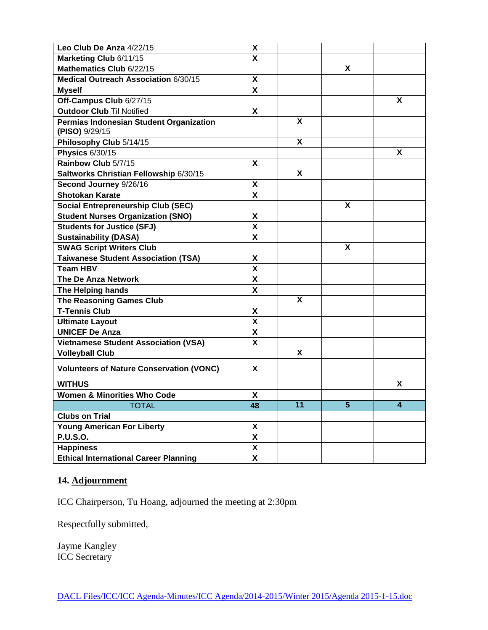| Leo Club De Anza 4/22/15                                  | X                         |    |                         |                         |
|-----------------------------------------------------------|---------------------------|----|-------------------------|-------------------------|
| Marketing Club 6/11/15                                    | x                         |    |                         |                         |
| Mathematics Club 6/22/15                                  |                           |    | $\overline{\mathbf{x}}$ |                         |
| Medical Outreach Association 6/30/15                      | X                         |    |                         |                         |
| <b>Myself</b>                                             | X                         |    |                         |                         |
| Off-Campus Club 6/27/15                                   |                           |    |                         | X                       |
| <b>Outdoor Club Til Notified</b>                          | X                         |    |                         |                         |
| Permias Indonesian Student Organization<br>(PISO) 9/29/15 |                           | X  |                         |                         |
| Philosophy Club 5/14/15                                   |                           | X  |                         |                         |
| <b>Physics 6/30/15</b>                                    |                           |    |                         | X                       |
| Rainbow Club 5/7/15                                       | X                         |    |                         |                         |
| Saltworks Christian Fellowship 6/30/15                    |                           | X  |                         |                         |
| Second Journey 9/26/16                                    | X                         |    |                         |                         |
| <b>Shotokan Karate</b>                                    | X                         |    |                         |                         |
| <b>Social Entrepreneurship Club (SEC)</b>                 |                           |    | X                       |                         |
| <b>Student Nurses Organization (SNO)</b>                  | X                         |    |                         |                         |
| <b>Students for Justice (SFJ)</b>                         | X                         |    |                         |                         |
| <b>Sustainability (DASA)</b>                              | X                         |    |                         |                         |
| <b>SWAG Script Writers Club</b>                           |                           |    | Χ                       |                         |
| <b>Taiwanese Student Association (TSA)</b>                | X                         |    |                         |                         |
| <b>Team HBV</b>                                           | X                         |    |                         |                         |
| <b>The De Anza Network</b>                                | X                         |    |                         |                         |
| The Helping hands                                         | X                         |    |                         |                         |
| <b>The Reasoning Games Club</b>                           |                           | X  |                         |                         |
| <b>T-Tennis Club</b>                                      | X                         |    |                         |                         |
| <b>Ultimate Layout</b>                                    | X                         |    |                         |                         |
| <b>UNICEF De Anza</b>                                     | X                         |    |                         |                         |
| <b>Vietnamese Student Association (VSA)</b>               | X                         |    |                         |                         |
| <b>Volleyball Club</b>                                    |                           | X  |                         |                         |
| <b>Volunteers of Nature Conservation (VONC)</b>           | X                         |    |                         |                         |
| <b>WITHUS</b>                                             |                           |    |                         | X                       |
| <b>Women &amp; Minorities Who Code</b>                    | X                         |    |                         |                         |
| <b>TOTAL</b>                                              | 48                        | 11 | $\overline{5}$          | $\overline{\mathbf{4}}$ |
| <b>Clubs on Trial</b>                                     |                           |    |                         |                         |
| <b>Young American For Liberty</b>                         | X                         |    |                         |                         |
| <b>P.U.S.O.</b>                                           | $\boldsymbol{\mathsf{X}}$ |    |                         |                         |
| <b>Happiness</b>                                          | $\pmb{\mathsf{X}}$        |    |                         |                         |
| <b>Ethical International Career Planning</b>              | X                         |    |                         |                         |

# **14. Adjournment**

ICC Chairperson, Tu Hoang, adjourned the meeting at 2:30pm

Respectfully submitted,

Jayme Kangley ICC Secretary